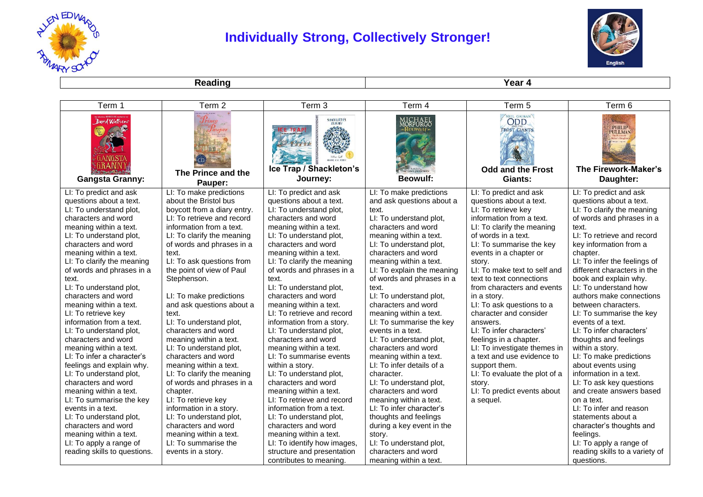

## **Individually Strong, Collectively Stronger!**



**Reading Year 4** 

| Term 1                                                                                          | Term 2                                                 | Term 3                                               | Term 4                                             | Term 5                                                                    | Term 6                                          |
|-------------------------------------------------------------------------------------------------|--------------------------------------------------------|------------------------------------------------------|----------------------------------------------------|---------------------------------------------------------------------------|-------------------------------------------------|
| David Walliams<br>ANGST<br><b>GRANN</b><br>Hope David & Bally & Bally<br><b>Gangsta Granny:</b> | $P_{rince}$<br>Pauper<br>The Prince and the<br>Pauper: | SHACKLETON'S<br>Ice Trap / Shackleton's<br>Journey:  | MICHAEL<br>MORPURGO<br>Reowutf<br><b>Beowulf:</b>  | NELL GATMAN<br><b>FROST GIANTS</b><br><b>Odd and the Frost</b><br>Giants: | PHILIP<br>The Firework-Maker's<br>Daughter:     |
| LI: To predict and ask                                                                          | LI: To make predictions                                | LI: To predict and ask                               | LI: To make predictions                            | LI: To predict and ask                                                    | LI: To predict and ask                          |
| questions about a text.                                                                         | about the Bristol bus                                  | questions about a text.                              | and ask questions about a                          | questions about a text.                                                   | questions about a text.                         |
| LI: To understand plot,                                                                         | boycott from a diary entry.                            | LI: To understand plot,                              | text.                                              | LI: To retrieve key                                                       | LI: To clarify the meaning                      |
| characters and word                                                                             | LI: To retrieve and record                             | characters and word                                  | LI: To understand plot,                            | information from a text.                                                  | of words and phrases in a                       |
| meaning within a text.                                                                          | information from a text.                               | meaning within a text.                               | characters and word                                | LI: To clarify the meaning                                                | text.                                           |
| LI: To understand plot,                                                                         | LI: To clarify the meaning                             | LI: To understand plot,                              | meaning within a text.                             | of words in a text.                                                       | LI: To retrieve and record                      |
| characters and word                                                                             | of words and phrases in a                              | characters and word                                  | LI: To understand plot,                            | LI: To summarise the key                                                  | key information from a                          |
| meaning within a text.                                                                          | text.                                                  | meaning within a text.                               | characters and word                                | events in a chapter or                                                    | chapter.                                        |
| LI: To clarify the meaning                                                                      | LI: To ask questions from                              | LI: To clarify the meaning                           | meaning within a text.                             | story.                                                                    | LI: To infer the feelings of                    |
| of words and phrases in a                                                                       | the point of view of Paul                              | of words and phrases in a                            | LI: To explain the meaning                         | LI: To make text to self and                                              | different characters in the                     |
| text.                                                                                           | Stephenson.                                            | text.                                                | of words and phrases in a                          | text to text connections                                                  | book and explain why.                           |
| LI: To understand plot,                                                                         |                                                        | LI: To understand plot,                              | text.                                              | from characters and events                                                | LI: To understand how                           |
| characters and word                                                                             | LI: To make predictions                                | characters and word                                  | LI: To understand plot,                            | in a story.                                                               | authors make connections                        |
| meaning within a text.<br>LI: To retrieve key                                                   | and ask questions about a<br>text.                     | meaning within a text.<br>LI: To retrieve and record | characters and word                                | LI: To ask questions to a<br>character and consider                       | between characters.<br>LI: To summarise the key |
| information from a text.                                                                        | LI: To understand plot,                                | information from a story.                            | meaning within a text.<br>LI: To summarise the key | answers.                                                                  | events of a text.                               |
| LI: To understand plot,                                                                         | characters and word                                    | LI: To understand plot,                              | events in a text.                                  | LI: To infer characters'                                                  | LI: To infer characters'                        |
| characters and word                                                                             | meaning within a text.                                 | characters and word                                  | LI: To understand plot,                            | feelings in a chapter.                                                    | thoughts and feelings                           |
| meaning within a text.                                                                          | LI: To understand plot,                                | meaning within a text.                               | characters and word                                | LI: To investigate themes in                                              | within a story.                                 |
| LI: To infer a character's                                                                      | characters and word                                    | LI: To summarise events                              | meaning within a text.                             | a text and use evidence to                                                | LI: To make predictions                         |
| feelings and explain why.                                                                       | meaning within a text.                                 | within a story.                                      | LI: To infer details of a                          | support them.                                                             | about events using                              |
| LI: To understand plot,                                                                         | LI: To clarify the meaning                             | LI: To understand plot,                              | character.                                         | LI: To evaluate the plot of a                                             | information in a text.                          |
| characters and word                                                                             | of words and phrases in a                              | characters and word                                  | LI: To understand plot,                            | story.                                                                    | LI: To ask key questions                        |
| meaning within a text.                                                                          | chapter.                                               | meaning within a text.                               | characters and word                                | LI: To predict events about                                               | and create answers based                        |
| LI: To summarise the key                                                                        | LI: To retrieve key                                    | LI: To retrieve and record                           | meaning within a text.                             | a sequel.                                                                 | on a text.                                      |
| events in a text.                                                                               | information in a story.                                | information from a text.                             | LI: To infer character's                           |                                                                           | LI: To infer and reason                         |
| LI: To understand plot,                                                                         | LI: To understand plot,                                | LI: To understand plot,                              | thoughts and feelings                              |                                                                           | statements about a                              |
| characters and word                                                                             | characters and word                                    | characters and word                                  | during a key event in the                          |                                                                           | character's thoughts and                        |
| meaning within a text.                                                                          | meaning within a text.                                 | meaning within a text.                               | story.                                             |                                                                           | feelings.                                       |
| LI: To apply a range of                                                                         | LI: To summarise the                                   | LI: To identify how images,                          | LI: To understand plot,                            |                                                                           | LI: To apply a range of                         |
| reading skills to questions.                                                                    | events in a story.                                     | structure and presentation                           | characters and word                                |                                                                           | reading skills to a variety of                  |
|                                                                                                 |                                                        | contributes to meaning.                              | meaning within a text.                             |                                                                           | questions.                                      |